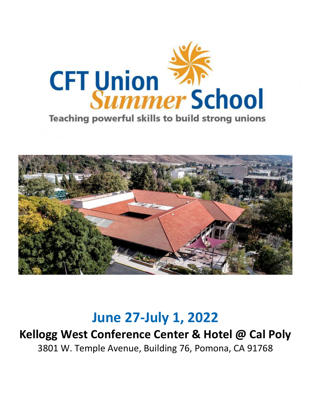

**Teaching powerful skills to build strong unions** 



# **June 27-July 1, 2022**

## **Kellogg West Conference Center & Hotel @ Cal Poly**  3801 W. Temple Avenue, Building 76, Pomona, CA 91768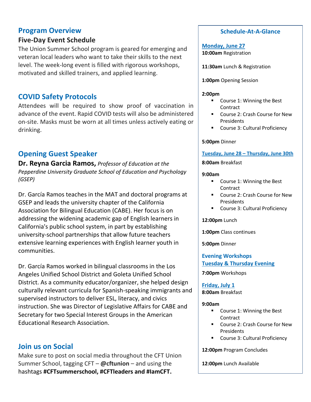### **Program Overview**

### **Five-Day Event Schedule**

The Union Summer School program is geared for emerging and veteran local leaders who want to take their skills to the next level. The week-long event is filled with rigorous workshops, motivated and skilled trainers, and applied learning.

## **COVID Safety Protocols**

Attendees will be required to show proof of vaccination in advance of the event. Rapid COVID tests will also be administered on-site. Masks must be worn at all times unless actively eating or drinking.

## **Opening Guest Speaker**

**Dr. Reyna Garcia Ramos,** *Professor of Education at the Pepperdine University Graduate School of Education and Psychology (GSEP)*

Dr. García Ramos teaches in the MAT and doctoral programs at GSEP and leads the university chapter of the California Association for Bilingual Education (CABE). Her focus is on addressing the widening academic gap of English learners in California's public school system, in part by establishing university-school partnerships that allow future teachers extensive learning experiences with English learner youth in communities.

Dr. García Ramos worked in bilingual classrooms in the Los Angeles Unified School District and Goleta Unified School District. As a community educator/organizer, she helped design culturally relevant curricula for Spanish-speaking immigrants and supervised instructors to deliver ESL, literacy, and civics instruction. She was Director of Legislative Affairs for CABE and Secretary for two Special Interest Groups in the American Educational Research Association.

### **Join us on Social**

Make sure to post on social media throughout the CFT Union Summer School, tagging CFT – **@cftunion** – and using the hashtags **#CFTsummerschool, #CFTleaders and #IamCFT.**

### **Schedule-At-A-Glance**

**Monday, June 27 10:00am** Registration

**11:30am** Lunch & Registration

**1:00pm** Opening Session

#### **2:00pm**

- Course 1: Winning the Best **Contract**
- Course 2: Crash Course for New **Presidents**
- Course 3: Cultural Proficiency

### **5:00pm** Dinner

**Tuesday, June 28 – Thursday, June 30th**

**8:00am** Breakfast

#### **9:00am**

- Course 1: Winning the Best Contract
- Course 2: Crash Course for New Presidents
- Course 3: Cultural Proficiency

### **12:00pm** Lunch

**1:00pm** Class continues

**5:00pm** Dinner

**Evening Workshops Tuesday & Thursday Evening**

**7:00pm** Workshops

### **Friday, July 1**

**8:00am** Breakfast

### **9:00am**

- Course 1: Winning the Best **Contract**
- Course 2: Crash Course for New Presidents
- Course 3: Cultural Proficiency

**12:00pm** Program Concludes

**12:00pm** Lunch Available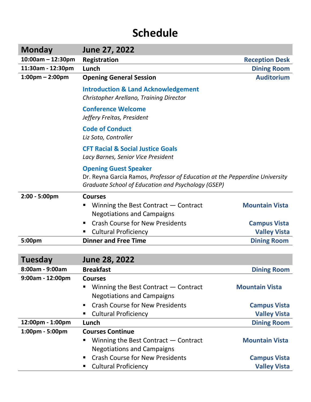## **Schedule**

| <b>Monday</b>                     | June 27, 2022                                                                                                                                                     |                       |
|-----------------------------------|-------------------------------------------------------------------------------------------------------------------------------------------------------------------|-----------------------|
| $10:00am - 12:30pm$               | <b>Registration</b>                                                                                                                                               | <b>Reception Desk</b> |
| 11:30am - 12:30pm                 | Lunch                                                                                                                                                             | <b>Dining Room</b>    |
| $1:00 \text{pm} - 2:00 \text{pm}$ | <b>Opening General Session</b>                                                                                                                                    | <b>Auditorium</b>     |
|                                   | <b>Introduction &amp; Land Acknowledgement</b><br>Christopher Arellano, Training Director                                                                         |                       |
|                                   | <b>Conference Welcome</b><br>Jeffery Freitas, President                                                                                                           |                       |
|                                   | <b>Code of Conduct</b><br>Liz Soto, Controller                                                                                                                    |                       |
|                                   | <b>CFT Racial &amp; Social Justice Goals</b><br>Lacy Barnes, Senior Vice President                                                                                |                       |
|                                   | <b>Opening Guest Speaker</b><br>Dr. Reyna Garcia Ramos, Professor of Education at the Pepperdine University<br>Graduate School of Education and Psychology (GSEP) |                       |
| 2:00 - 5:00pm                     | <b>Courses</b>                                                                                                                                                    |                       |
|                                   | Winning the Best Contract $-$ Contract                                                                                                                            | <b>Mountain Vista</b> |
|                                   | <b>Negotiations and Campaigns</b>                                                                                                                                 |                       |
|                                   | <b>Crash Course for New Presidents</b>                                                                                                                            | <b>Campus Vista</b>   |
|                                   | <b>Cultural Proficiency</b>                                                                                                                                       | <b>Valley Vista</b>   |
| 5:00pm                            | <b>Dinner and Free Time</b>                                                                                                                                       | <b>Dining Room</b>    |
|                                   |                                                                                                                                                                   |                       |
| <b>Tuesday</b>                    | <b>June 28, 2022</b>                                                                                                                                              |                       |
| 8:00am - 9:00am                   | <b>Breakfast</b>                                                                                                                                                  | <b>Dining Room</b>    |
| 9:00am - 12:00pm                  | <b>Courses</b><br>Winning the Best Contract $-$ Contract                                                                                                          | <b>Mountain Vista</b> |
|                                   | <b>Negotiations and Campaigns</b>                                                                                                                                 |                       |
|                                   | <b>Crash Course for New Presidents</b><br>٠                                                                                                                       | <b>Campus Vista</b>   |
|                                   | <b>Cultural Proficiency</b><br>п                                                                                                                                  | <b>Valley Vista</b>   |
| 12:00pm - 1:00pm                  | Lunch                                                                                                                                                             | <b>Dining Room</b>    |
| 1:00pm - 5:00pm                   | <b>Courses Continue</b>                                                                                                                                           |                       |
|                                   | Winning the Best Contract $-$ Contract                                                                                                                            | <b>Mountain Vista</b> |
|                                   | <b>Negotiations and Campaigns</b>                                                                                                                                 |                       |
|                                   | <b>Crash Course for New Presidents</b><br>п                                                                                                                       | <b>Campus Vista</b>   |
|                                   | <b>Cultural Proficiency</b><br>п                                                                                                                                  | <b>Valley Vista</b>   |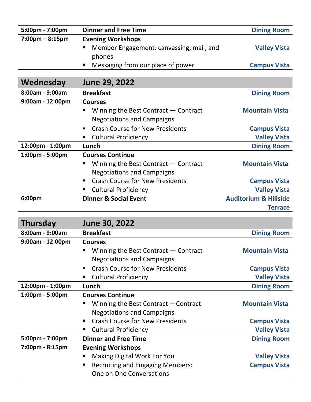| 5:00pm - 7:00pm                   | <b>Dinner and Free Time</b>                   | <b>Dining Room</b>               |
|-----------------------------------|-----------------------------------------------|----------------------------------|
| $7:00 \text{pm} - 8:15 \text{pm}$ | <b>Evening Workshops</b>                      |                                  |
|                                   | Member Engagement: canvassing, mail, and<br>п | <b>Valley Vista</b>              |
|                                   | phones                                        |                                  |
|                                   | Messaging from our place of power<br>п        | <b>Campus Vista</b>              |
|                                   |                                               |                                  |
| Wednesday                         | June 29, 2022                                 |                                  |
| 8:00am - 9:00am                   | <b>Breakfast</b>                              | <b>Dining Room</b>               |
| 9:00am - 12:00pm                  | <b>Courses</b>                                |                                  |
|                                   | Winning the Best Contract $-$ Contract<br>п   | <b>Mountain Vista</b>            |
|                                   | <b>Negotiations and Campaigns</b>             |                                  |
|                                   | <b>Crash Course for New Presidents</b>        | <b>Campus Vista</b>              |
|                                   | <b>Cultural Proficiency</b><br>п              | <b>Valley Vista</b>              |
| 12:00pm - 1:00pm                  | Lunch                                         | <b>Dining Room</b>               |
| 1:00pm - 5:00pm                   | <b>Courses Continue</b>                       |                                  |
|                                   | Winning the Best Contract $-$ Contract<br>п   | <b>Mountain Vista</b>            |
|                                   | <b>Negotiations and Campaigns</b>             |                                  |
|                                   | <b>Crash Course for New Presidents</b><br>٠   | <b>Campus Vista</b>              |
|                                   | <b>Cultural Proficiency</b>                   | <b>Valley Vista</b>              |
| 6:00pm                            | <b>Dinner &amp; Social Event</b>              | <b>Auditorium &amp; Hillside</b> |
|                                   |                                               | <b>Terrace</b>                   |
|                                   |                                               |                                  |
| <b>Thursday</b>                   | June 30, 2022                                 |                                  |
|                                   |                                               |                                  |

| 8:00am - 9:00am    | <b>Breakfast</b>                                         | <b>Dining Room</b>    |
|--------------------|----------------------------------------------------------|-----------------------|
| $9:00am - 12:00pm$ | <b>Courses</b>                                           |                       |
|                    | Winning the Best Contract $-$ Contract                   | <b>Mountain Vista</b> |
|                    | <b>Negotiations and Campaigns</b>                        |                       |
|                    | <b>Crash Course for New Presidents</b><br>$\blacksquare$ | <b>Campus Vista</b>   |
|                    | <b>Cultural Proficiency</b>                              | <b>Valley Vista</b>   |
| 12:00pm - 1:00pm   | Lunch                                                    | <b>Dining Room</b>    |
| 1:00pm - 5:00pm    | <b>Courses Continue</b>                                  |                       |
|                    | Winning the Best Contract – Contract                     | <b>Mountain Vista</b> |
|                    | <b>Negotiations and Campaigns</b>                        |                       |
|                    | <b>Crash Course for New Presidents</b><br>$\blacksquare$ | <b>Campus Vista</b>   |
|                    | <b>Cultural Proficiency</b><br>٠                         | <b>Valley Vista</b>   |
| 5:00pm - 7:00pm    | <b>Dinner and Free Time</b>                              | <b>Dining Room</b>    |
| 7:00pm - 8:15pm    | <b>Evening Workshops</b>                                 |                       |
|                    | Making Digital Work For You                              | <b>Valley Vista</b>   |
|                    | <b>Recruiting and Engaging Members:</b><br>п             | <b>Campus Vista</b>   |
|                    | One on One Conversations                                 |                       |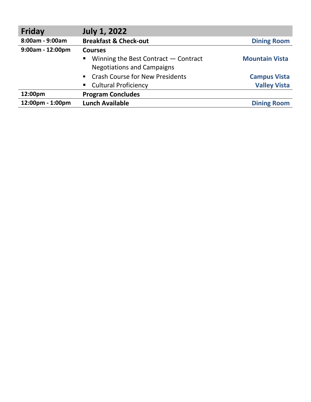| <b>Friday</b>      | <b>July 1, 2022</b>                                      |                       |
|--------------------|----------------------------------------------------------|-----------------------|
| 8:00am - 9:00am    | <b>Breakfast &amp; Check-out</b>                         | <b>Dining Room</b>    |
| $9:00am - 12:00pm$ | <b>Courses</b>                                           |                       |
|                    | Winning the Best Contract $-$ Contract<br>$\blacksquare$ | <b>Mountain Vista</b> |
|                    | <b>Negotiations and Campaigns</b>                        |                       |
|                    | • Crash Course for New Presidents                        | <b>Campus Vista</b>   |
|                    | • Cultural Proficiency                                   | <b>Valley Vista</b>   |
| 12:00pm            | <b>Program Concludes</b>                                 |                       |
| 12:00pm - 1:00pm   | <b>Lunch Available</b>                                   | <b>Dining Room</b>    |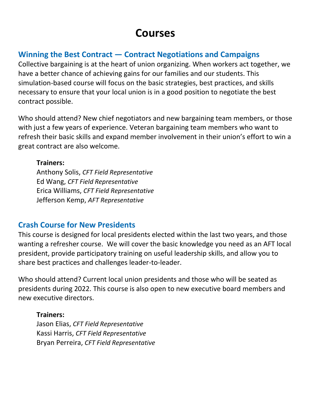## **Courses**

## **Winning the Best Contract — Contract Negotiations and Campaigns**

Collective bargaining is at the heart of union organizing. When workers act together, we have a better chance of achieving gains for our families and our students. This simulation-based course will focus on the basic strategies, best practices, and skills necessary to ensure that your local union is in a good position to negotiate the best contract possible.

Who should attend? New chief negotiators and new bargaining team members, or those with just a few years of experience. Veteran bargaining team members who want to refresh their basic skills and expand member involvement in their union's effort to win a great contract are also welcome.

**Trainers:** Anthony Solis, *CFT Field Representative* Ed Wang, *CFT Field Representative* Erica Williams, *CFT Field Representative*

Jefferson Kemp, *AFT Representative*

## **Crash Course for New Presidents**

This course is designed for local presidents elected within the last two years, and those wanting a refresher course. We will cover the basic knowledge you need as an AFT local president, provide participatory training on useful leadership skills, and allow you to share best practices and challenges leader-to-leader.

Who should attend? Current local union presidents and those who will be seated as presidents during 2022. This course is also open to new executive board members and new executive directors.

**Trainers:**  Jason Elias, *CFT Field Representative* Kassi Harris, *CFT Field Representative* Bryan Perreira, *CFT Field Representative*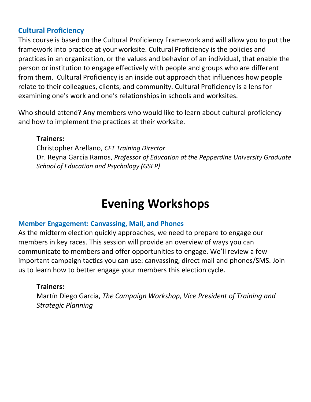## **Cultural Proficiency**

This course is based on the Cultural Proficiency Framework and will allow you to put the framework into practice at your worksite. Cultural Proficiency is the policies and practices in an organization, or the values and behavior of an individual, that enable the person or institution to engage effectively with people and groups who are different from them. Cultural Proficiency is an inside out approach that influences how people relate to their colleagues, clients, and community. Cultural Proficiency is a lens for examining one's work and one's relationships in schools and worksites.

Who should attend? Any members who would like to learn about cultural proficiency and how to implement the practices at their worksite.

### **Trainers:**

Christopher Arellano, *CFT Training Director* Dr. Reyna Garcia Ramos, *Professor of Education at the Pepperdine University Graduate School of Education and Psychology (GSEP)*

## **Evening Workshops**

### **Member Engagement: Canvassing, Mail, and Phones**

As the midterm election quickly approaches, we need to prepare to engage our members in key races. This session will provide an overview of ways you can communicate to members and offer opportunities to engage. We'll review a few important campaign tactics you can use: canvassing, direct mail and phones/SMS. Join us to learn how to better engage your members this election cycle.

### **Trainers:**

Martín Diego Garcia, *The Campaign Workshop, Vice President of Training and Strategic Planning*